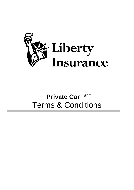

# **Private Car** Tariff Terms & Conditions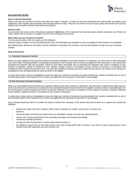

# *EXPLANATORY NOTES*

#### **How to read this document**

*Please note that your Private Car Policy only starts from page 5 onwards. To help you read and understand your policy better we provide some explanatory notes together with comments and examples (written in italic). These are not meant to be part of your policy and should not be used to interpret your insurance contract in the event of any dispute.*

#### *Words in bold*

*You will notice that some words in the policy are printed in bold letters. This is because they have been given specific meaning in your Private Car Policy. Please refer to Section F on pages 13 to 16 for the meaning of these words.*

#### *What makes up your insurance contract?*

*Your insurance contract with us is made up of the following:*

*insurance policy in pages 5 to 16 (excluding the italic texts); the information you provided us when you applied for this insurance; the Schedule;* 

*the Endorsements attached to the policy; and the Certificate of Insurance (CI). All these must be read together as they form your insurance contract.*

# *Duty of Disclosure*

# **A. Consumer Insurance Contract**

Where you have applied for this insurance wholly for purposes unrelated to your trade, business or profession, you had a duty to take reasonable care not to make a misrepresentation in answering the questions in the Proposal Form (or when you applied for this insurance) i.e. you should have answered the questions fully and accurately. Failure to have taken reasonable care in answering the questions may result in avoidance of your contract of insurance, refusal or reduction of your claim(s), change of terms or termination of your contract of insurance in accordance with Schedule 9 of the Financial Services Act 2013. You were also required to disclose any other matter that you knew to be relevant to our decision in accepting the risks and determining the rates and terms to be applied.

You also have a duty to tell us immediately if at any time after your contract of insurance has been entered into, varied or renewed with us, any of the information given in the Proposal Form (or when you applied for this insurance) is inaccurate or has changed.

#### **B. Non-Consumer Insurance Contract**

Where you have applied for this insurance for purposes related to your trade, business or profession, you had a duty to disclose any matter that you know to be relevant to our decision in accepting the risks and determining the rates and terms to be applied, and any matter a reasonable person in the circumstances could be expected to know to be relevant, otherwise it may result in avoidance of your contract of insurance, refusal or reduction of your claim(s), change of term(s) or termination of your contract of insurance.

You also have a duty to tell us immediately if at any time after your contract of insurance has been entered into, varied or renewed with us, any of the information given in the Proposal Form (or when you applied for this insurance) is inaccurate or has changed.

*If you misrepresented any facts to us before the policy is entered into, examples of the actions that may be taken by us against you include the following:*

- *declare your policy void from inception (which means treating it as invalid), and we may not return any premium;*
- *cancel this policy and return any premium less our cancellation charge or recover any unpaid premium;*
- *remove one or more named drivers from your policy and adjust your premium accordingly;*
- *recover any shortfall in premium;*
- *not pay any claim that has been or will be made under the policy; or*
- *be entitled to recover from you the total amount of any claim already paid under the policy or any claim we have to pay because of any relevant road traffic legislation, plus any recovery cost.*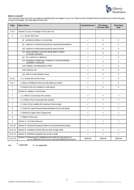

# *What is covered?*

*Your insurance does not cover you against everything that can happen to your car. Check out the Schedule that we issued to you to know the type of cover you bought. The main types of cover are:*

| Page           | <b>Basic Cover:</b>                                                                                                              | Comprehensive | <b>Third Party,</b><br><b>Fire and Theft</b> | <b>Third Party</b><br>Only |
|----------------|----------------------------------------------------------------------------------------------------------------------------------|---------------|----------------------------------------------|----------------------------|
| 5 to 7         | Section A: Loss or Damage to Your Own Car                                                                                        |               |                                              |                            |
| 5              | 1. a. Events We Cover                                                                                                            |               |                                              |                            |
|                | (i) accidental collision or overturning                                                                                          | ✓             | Χ                                            | X                          |
|                | (ii) collision or overturning caused by mechanical breakdown                                                                     | ✓             | X                                            | Χ                          |
|                | (iii) collision or overturning caused by wear and tear                                                                           | ✓             | Χ                                            | X                          |
|                | (iv) impact damage caused by falling objects subject<br>to certain exclusions                                                    | ✓             | X                                            | Χ                          |
|                | $(v)$ fire, explosion or lightning                                                                                               | ✓             | ✓                                            | X                          |
|                | (vi) breakage of windscreen, windows or sunroof including<br>lamination / tinting film                                           | ✓             | Χ                                            | X                          |
|                | (vii) burglary, housebreaking or theft                                                                                           | ✓             | ✓                                            | X                          |
|                | (viii) malicious act                                                                                                             | ✓             | X                                            | X                          |
|                | (ix) while in transit (limited cover)                                                                                            | ✓             | Χ                                            | X                          |
| 5 to 6         | 1. b. Events We Do Not Cover                                                                                                     | ✓             | ✓                                            | X                          |
| 6 to 7         | 2. Basis of Settlement (how we will settle your claim)                                                                           | ✓             | ✓                                            | X                          |
| $\overline{7}$ | 3. Towing Costs (to a repairer or safe place)                                                                                    | ✓             | Χ                                            | Χ                          |
| $\overline{7}$ | Section B: Liability to Third Parties                                                                                            |               |                                              |                            |
| $\overline{7}$ | 1. a. What is Covered (by this section)                                                                                          | ✓             | $\checkmark$                                 | ✓                          |
| $\overline{7}$ | 1. b. What is Not Covered (by this section)                                                                                      | ✓             | ✓                                            | ✓                          |
| 7              | 2. Limits of Our Liability (the maximum that we pay)                                                                             | ✓             | ✓                                            | ✓                          |
| 8              | 3. Cover for Legal Personal Representatives (if you are dead)                                                                    | ✓             | ✓                                            | ✓                          |
| 8              | 4. Maximum Legal Costs (if approved)                                                                                             | ✓             | ✓                                            | ✓                          |
| 8              | 5. Rights of Recovery                                                                                                            |               |                                              |                            |
| 9              | Section C: No Claim Discount                                                                                                     | ✓             | ✓                                            | ✓                          |
| 9 to 10        | Section D: General Exceptions (what is not covered by the policy)                                                                |               |                                              |                            |
| 10 to 12       | Section E: Conditions (terms that you must comply with)                                                                          | ✓             | ✓                                            | ✓                          |
| 12 to 13       | Section F: Definitions (explains the words in bold)                                                                              | ✓             | ✓                                            | ✓                          |
| 13 to 16       | Section G: Endorsements (additional terms that we may impose on<br>you or additional covers if you have paid additional premium) | Optional      | Optional                                     | Optional                   |

*Key:*

✓

*= applicable X = not applicable*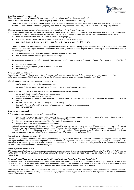

# *What this policy does not cover?*

*These are referred to as 'Exceptions' in your policy and there are three sections where you can find them:*

*Section A1b – see 'Events We Do Not Cover' (pages 5): applicable to Comprehensive policy only.* 

*Section B1b – see 'What is Not Covered' (pages 7): applicable to Comprehensive, Third Party, Fire & Theft and Third Party Only policies. Section D – see 'General Exceptions' (pages 9): applicable to Comprehensive, Third Party, Fire & Theft and Third Party Only policies.* 

*There are generally three reasons why we put these exceptions in your basic Private Car Policy:*

- *1. Cover is not provided for the exceptions. We have to charge additional premium if you want to cover any of these exceptions. Some examples of the exceptions which are not covered by your basic Private Car Policy but which can be covered if you pay additional premium are:* 
	- *flood, storm {see Section A1b – 'Events We Do Not Cover' (page 5)};*
	- *strike, riot, civil commotion {see Section D – 'General Exception 8b' (page 9)}; and*
	- *use outside Malaysia, Singapore or Brunei {see Section D – 'General Exception 6' (page 9)}.*
- *2. There are other risks which are not covered by the basic Private Car Policy or by any of its extensions. We would have to issue a different policy if you want these types of cover. For example, the following are not covered by your Private Car Policy but can be covered under a different type of policy:* 
	- *carriage of goods must be covered under a Commercial Vehicle Policy; and*
	- *hire or reward must be covered by taxi or hired car policy.*
- *3. We cannot and do not cover certain risks at all. Some examples of these can be seen in Section D – 'General Exceptions' (pages 9 to 10) such as:* 
	- *war, nuclear fission or fusion;*
	- *risks that are against public policy or against the law; and*
	- *drunk driving.*

#### *How can your car be used?*

*Since this is a Private Car Policy, your policy only covers you if your car is used for "social, domestic and pleasure purposes and for the policyholder's business". This is clearly stated in the Certificate of Insurance under the heading "Limitation as to Use".*

*The following are some examples of how your car can be used:*

- *to visit relatives and friends, for shopping etc.; and*
- *for some limited business use such as getting to and from work, and meeting customers.*

*However, we will not cover you, for example, if you use your car in the following manner:*

- *as a private taxi by charging fares to carry passengers;*
- *as a hire car by charging rental to use your car;*
- *to carry any goods in connection with any trade or business other than samples. You must buy a Commercial Vehicle Policy to cover for this use;*
- *for motor trade (use for showroom display and for test-drive);*
- *to practise for or to take part in any race, rally, pacemaking, reliability trial or speed test; and*
- *use on any racetrack.*

#### *Who can drive your car?*

• *Practically anyone can drive your car as long as the driver:* 

- . has a valid license of the relevant class to drive and is not disqualified to drive by law or for some other reason {(see exclusion on<br>Unlicensed Drivers in Section D – 'General Exception 1' (page 9)};
- . *has your permission to drive (see definition of Authorised Driver in page 10); and*
- . *complies with all the terms and conditions of this policy.*

*Although anyone complying with the above conditions can drive your car, you may have to pay an additional excess depending on the age of the driver, the type of license the driver possesses or if the driver is not a named driver (see explanation on excess in page 4). If you or your authorised driver is not qualified to drive or breach any of the terms and conditions, your claim may be rejected. If we are compelled by law to pay, we can recover any sum(s) paid and any expenses incurred from you or your authorised driver.* 

#### *In which territory is your car covered?*

*This insurance you have purchased only covers you in Malaysia, Singapore and Brunei in accordance to the laws of Malaysia. Additionally, note that if you intend to drive your car into Singapore, you are required by Singapore's law to have cover against Legal Liability to Passengers (LLP).*  Since LLP is not covered by the basic Private Car Policy, you will need to purchase Endorsement 100 (see page 15), which provides a limited cover *for your liability for death or bodily injury of passengers.*

#### *When is your cover effective?*

This insurance is effective from the time of purchase of cover or at the agreed time of commencement, until the expiry date. The period of insurance will be printed in the Policy Schedule and related documents. If there is any change to these dates, it will be officially shown in an Endorsement *issued by us.*

# *How much should you insure your car for under a Comprehensive or Third Party, Fire and Theft Policy?*

*To be safe, you should insure your car at its current market value (see definition in page 16). In simple terms, this is the current cost to replace your*  car with another car of the same make, model, age and general condition. The amount that you choose to insure is called the sum insured. Please *note that you could be penalised if your car is under-insured (see Section A2e – 'Under-Insurance' in page 6).*

*For example, if the market value of your car is RM100,000 but you only insured it for RM80,000 then you could be penalised for under-insurance. Assuming the loss is assessed at RM5,000, instead of we paying the full amount, you could be made to bear a portion of the loss in proportion to the under-insurance as follows:*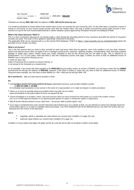

*Sum Insured RM80,000 -------------------x Loss = ------------- x RM5,000= RM4,000 Market Value RM100,000*

*Therefore we will pay RM4, 000 while the balance of RM1, 000 will be borne by you.*

You would be penalised as shown above if the market value of your car exceeds the sum insured by 10%. On the other hand, it would be a waste of *money to over-insure as your insurer would not pay more than the market value. One way to protect yourself from being under-insured or overinsured is to opt for the sum insured determined by a market valuation system approved by Persatuan Insurans Am Malaysia (PIAM).*

# *What is No Claim Discount ("NCD")?*

*This is a form of premium discount for not having made a claim during the preceding period of your insurance (provided the period of insurance exceeds one year). The scale of NCD applied is specifically mentioned in the policy.*

*The applicable NCD can be checked with us or the Central NCD Database ("CND") at https:// [www.mycarinfo.com.my](http://www.mycarinfo.com.my/) /ncdcheck/online before the purchase of your Private Car Policy.*

#### *What is an Excess?*

*This is the first amount that you have to bear yourself for each and every claim that we approve, even if the incident is not your fault. However, please note that the excess does not apply to loss or damage caused by fire, explosion, lightning, burglary, housebreaking, theft, third party property damage or bodily injury claims. Please check your Policy Schedule to find out the amount that you are liable to pay. This is referred to as Endorsement 1 or 2 in your policy. Note that there is also the Compulsory Excess (see page 7) where you have to bear an additional excess of RM400 if you or the person driving your car:*

*is under 21 years old;* 

*holds a Provisional (P) or Learner (L) driver's license; or* 

*is not named in the Schedule as a named driver.* 

*As an example, if we assess the claim payable to be RM10,000 but your policy carries an excess of RM500, you will have to bear the first RM500 yourself and we will pay the balance of RM9,500. However, if the driver is below 21 years old, you have to bear an additional excess of RM400. Using the same example, you now have to bear RM900 (i.e. 500 + 400) and we will pay RM9, 100.*

*Do's and Don'ts – after you have had an accident or theft*

#### *Do:*

• *Call Accident Assist Call Centre (AACC) 24 hours nationwide insurance road accident Helpline number: 1-300-22-1188 or 15-500*

*for immediate road assistance or tow service in the event of a road accident, or to make an enquiry on claims procedure;* 

- *inform us as soon as possible about any incident which may give rise to a claim; report all accidents to the police within 24 hours as required by law;*
- *submit immediately to us all letters, claims, writs and summons which you have received from third parties as a result of the incident; remove your car to a PIAM Approved Repairer or our approved panel repairer for repairs or windscreen repairs or replacement;*
- *fully fill up the relevant sections of your claim form – do not put "refer to police report"; and*
- *if you have a Comprehensive cover and the third party that knocked your car is clearly at fault, you are advised to submit own damage Knock-for Knock (KfK) claim to us in order to expedite claims processing. Your NCD entitlement will not be affected and you can claim the excess that you had paid from the insurer of the third party.*

# *Don't:*

- *negotiate, admit or repudiate any claim without our consent (see Condition 2 in page 10); and*
- *authorise repair without our consent (see Condition 2f in page 11).*

*Condition 2 of your policy (see page 15) spells out the do's and the don'ts after an accident or theft in more detail.*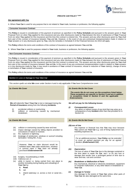

# *PRIVATE CAR POLICY TARIFF*

#### *Our agreement with You*

A. Where **Your Car** is used for any purpose that is not related to **Your** trade, business or profession, the following applies:

#### **Consumer Insurance Contract**

This **Policy** is issued in consideration of the payment of premium as specified in the **Policy Schedule** and pursuant to the answers given in **Your** Proposal Form (or when **You** applied for this insurance) and any other disclosures made by **You** between the time of submission of **Your** Proposal Form (or when **You** applied for this insurance) and the time this contract is entered into. The answers and any other disclosures given by **You** shall form part of this contract of insurance between **You** and **Us**. However, in the event of any pre-contractual misrepresentation made in relation to **Your** answers or in any disclosures given by **You**, only the remedies in Schedule 9 of the Financial Services Act 2013 will apply.

This **Policy** reflects the terms and conditions of the contract of insurance as agreed between **You** and **Us**.

B. Where **Your Car** is used for purposes related to **Your** trade, business or profession, the following applies:

#### **Non-Consumer Insurance Contract**

This **Policy** is issued in consideration of the payment of premium as specified in the **Policy Schedule** and pursuant to the answers given in **Your** Proposal Form (or when **You** applied for this insurance) and any other disclosures made by **You** between the time of submission of **Your** Proposal Form (or when **You** applied for this insurance) and the time this contract is entered into. The answers and any other disclosures given by **You** shall form part of this contract of insurance between **You** and **Us**. In the event of any pre-contractual misrepresentation made in relation to **Your** answers or in any disclosures made by **You**, it may result in avoidance of **Your** contract of insurance, refusal or reduction of **Your** claim(s), change of terms or termination of **Your** contract of insurance.

This **Policy** reflects the terms and conditions of the contract of insurance as agreed between **You** and **Us**.

# *Section A: Loss or Damage to Your Own Car*

*This section spells out what We cover under Section A and is only applicable if You have Comprehensive cover.*

**We** will indemnify **You** if **Your Car** is lost or damaged during the *We will not pay for the following losses:* **Period of Insurance** arising from the following **Incidents**:

- 
- breakdown:

- (iii) collision or overturning caused by wear and tear;
- (iv) impact damage caused by falling objects provided no convulsions of nature is involved;
- (v) fire, explosion or lightning;
- (vi) breakage of windscreen, windows or sunroof including lamination / tinting film, if any;

*However, Your no claim discount would be forfeited when You make windscreen, windows or sunroof claim if You have not already purchased Endorsement 89.*

- (vii) burglary, housebreaking or theft;
- (viii) malicious act; or
- (ix) while in transit i.e. being carried from one place to another (including during loading and unloading) of Your Car by:
	- a. **Road**;
	- b. rail;
	- c. inland waterway i.e. across a river or canal etc.; or

#### *1a: Events We Cover 1b: Events We Do Not Cover*

*The events We do not cover are the exceptions listed below. These exceptions are specific to Section A and are in addition to exceptions listed in Section D and the applicable Endorsements.*

#### *(i) Consequential Losses*

(i) accidental collision or overturning; <br>(ii) collision or overturning caused by mechanical consequence of any lncident other than that provided for in consequence of any **Incident** other than that provided for in<br>Section A2

# *1a: Events We Cover 1b: Events We Do Not Cover*

#### *(iI)Loss of Use*

Any expense or financial loss that **You** may incur because **You** cannot use **Your Car** e.g. cost of hiring replacement car, travelling expenses etc.

*For an additional premium, Your Policy can be extended to cover an agreed payment per day for an agreed duration (Endorsement 112).*

# *(iii) Depreciation*

The loss of value of **Your Car** due to the damage sustained or the time taken to repair the **Car**, and / or for any loss or damage that results over a prolonged period of time due to wear and tear, rust and corrosion.

# *(iv) Breakdown or Malfunction of Parts*

Any mechanical, electrical or electronic breakdown, equipment or computer malfunction, or any other failure or breakdown to **Your Car**.

#### *(v) Damage to Tyre(s)*

Any damage to the tyre(s) of **Your Car** unless other parts of Your Car are also damaged at the same time.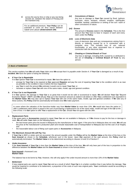

d. across the sea by ferry or ship or any sea faring vessels etc. between the island of Penang and the mainland only.

*For an additional premium, Your Policy can be extended to cover for ferry transit between Sabah and Labuan (Endorsement 109).*

# *(vi) Convulsions of Nature*

Any loss or damage to **Your Car** caused by flood, typhoon, hurricane, storm, tempest, volcanic eruption, earthquake, landslide, landslip, subsidence or sinking of the soil / earth or other convulsions of nature.

# *(vii) Excess*

The amount of **Excess** stated in the **Schedule**. This is the first amount that **You** have to bear in respect of each and every claim under the **Policy**.

# *(viii) Loss of Electronic Data*

Loss of electronic data and any consequences arising from it, directly or indirectly caused by or in connection with a computer virus. This includes loss of use, reduced functionality, or any other associated loss or expense in connection with the electronic data.

# *(ix) Cheating or Criminal Breach of Trust*

Any loss or damage, including theft, caused by or attributed to the act of **Cheating** or **Criminal Breach of Trust** by any person.

# *2: Basis of Settlement*

*This section explains how We will settle Your claim once We accept that it is payable under Section A. If Your Car is damaged as a result of any Incident, We have the option of doing the following:*

# *a. If Your Car is Repairable*

If in **Our** opinion **Your Car** is economical to repair, **We** have the option to:

- arrange for **Your Car** to be repaired at **Our** approved **Repairer** and pay the cost of repairing **Your Car** to the condition which is as near as possible to the condition it was in before the loss happened;
- pay **You** in cash the amount **We** estimate it would cost to repair **Your Car**; or
- reinstate or replace **Your Car** with one of the same make, model, age and general condition.

# *b. If Your Car is not Repairable*

If in **Our** opinion, the damage to **Your Car** is so great that it would not be safe or economical to repair, **We** will declare **Your Car** "Beyond Economic Repair" ("BER") and **We** will pay **You** up to the maximum amount as stated in (d) below or offer **You** a settlement sum equivalent to the **Market Value**. **We** may also opt to replace **Your Car** with one of the same make, model, age and general condition. If **W**e take any of these actions, this **Policy** shall be automatically terminated once **We** make payment.

*In cases where the valuation of the franchise-holder vary from Market Value by more than 10%, We would also have the option to offer a settlement value which is equal to the cost of purchasing a replacement car of the same make, model and age of the Car at the time of loss. It is Our option to offer You a replacement of the Car, should You not agree with the offer.*

# *c. Replacement Parts*

If the spare parts or **Accessories** required to repair **Your Car** are not available in Malaysia, or if **We** choose to pay for the loss or damage in cash, **We** will settle **Your** claim on the following basis:

- the last known parts price list issued in Malaysia by the manufacturer or their agent. If the price list in Malaysia does not exist, **We** will use the price at the manufacturer's production plant and include reasonable cost of transportation to Malaysia (but not the cost of air freight); and
- the reasonable labour cost of fitting such spare parts or **Accessories** in Malaysia.

# *d. The Maximum Amount We will Pay You*

If **Your Car** is BER or stolen and not recovered, the amount payable under the **Policy** will be the **Market Value** at the time of the loss or the **Sum Insured** as shown in the **Schedule**, whichever sum is the lesser. Upon **Our** payment of the said amount, this **Policy** shall be automatically terminated. The **Market Value** is to be determined according to clauses 14 and 15 of Section F.

# *e. Under-Insurance*

If the **Sum Insured** of **Your Car** is less than the **Market Value** at the time of the loss, **We** will only bear part of the loss in proportion to the difference between the **Market Value** and the **Sum Insured** as shown in the formula below:

#### **Sum Insured** x Assessed Loss **Market Value**

The balance has to be borne by **You**. However, this will only apply if the under-insured amount is more than 10% of the **Market Value**.

#### *f. Betterment*

If new original parts are used to repair **Your Car** and as a result of which **Your Car** is in a better condition than it was before the damage, **You** would be required to contribute to its betterment, a proportion of the costs of such new original parts. **Your** contribution would be according to the following scale: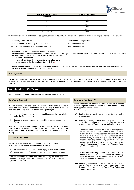| Age of Your Car (Years) | <b>Rate of Betterment</b> |
|-------------------------|---------------------------|
| less than 5             |                           |
|                         | 15%                       |
|                         | 20%                       |
|                         | 25%                       |
|                         | 30%                       |
|                         | 35%                       |
| 10 and above            | 40%                       |

To determine the rate of betterment to be applied, the age of **Your Car** will be calculated based on when it was originally registered in Malaysia:

| a. as a locally assembled car                            | Date of Original Registration |
|----------------------------------------------------------|-------------------------------|
| b. as a new imported Completely Built Unit (CBU) car     | Year of Manufacture           |
| c. as an imported second-hand / used / reconditioned car | Year of Manufacture           |

# *g. Compulsory Excess (please see page 4 for explanation)*

In addition to the **Excess** shown in the **Schedule, We** have the right to deduct another RM400 as Compulsory **Excess** if at the time of the **Incident**, **You** or the person driving **Your Car** with **Your** consent:

- is under 21 years old;
- holds a Provisional (P) or Learner (L) driver's license; or
- is not named in the **Schedule** as **Named Driver**.

**We** will not deduct this additional RM400 **Excess** if the loss or damage is caused by fire, explosion, lightning, burglary, housebreaking, theft, third party property damage or bodily injury claims.

#### *3: Towing Costs*

If **Your Car** cannot be driven as a result of any damage to it that is covered by this **Policy**, **We** will pay up to a maximum of RM200 for the necessary and reasonable costs to remove **Your Car** to the nearest approved **Repairer** or to a safe place of storage while awaiting repair or disposal.

#### *Section B: Liability to Third Parties*

*This section explains what is covered and not covered under Section B.*

# *1a: What is Covered?*

**We** will indemnify **You** and / or **Your Authorised Driver** for the amount which You and / or Your Authorised Driver are legally liable to pay any third party (including third party's costs and expenses) for:

- (i) death or bodily injury to any person except those specifically excluded under this **Policy**; and / or
- (ii) damage to property except those specifically excluded under this **Policy**

as a result of an **Incident** arising out of the use of **Your Car** on a **Road**. This cover is extended to **Your Authorised Driver** provided **Your Authorised Driver** also complies with all the terms and conditions of this **Policy**.

#### **2:** *Limits of Our Liability*

**We** will pay the following for any one claim, or series of claims arising from one **Incident**, in any one **Period of Insurance**:

- (i) unlimited amount for death or bodily injury to third party; and / or
- (ii) up to a maximum of RM3 million for third party property damage.

For an additional premium, the limits of liability for third party *property damage can be extended up to RM20 million (Endorsement 105).*

# *1b: What is Not Covered?*

These exceptions are specific to Section B and are in addition to the Exceptions stated in Section D of this **Policy** and any other applicable endorsements. **We** will not pay for:

- (i) death or bodily injury to any passenger being carried for hire or reward;
- (ii) death or bodily injury to any person where such death or injury arises out of and in the course of the employment of such person by **You** or by **Your Authorised Driver**;

*Under the Road Transport Act 1987, this Policy shall not be required to cover, except in the case of a motor vehicle in which passengers are carried for hire or reward or by reason of or in pursuance of a contract of employment, liability in respect of death of or bodily injury to persons being carried in or upon or entering or getting onto or alighting from the motor vehicle at the time of the occurrence of the event out of which the claims arise.*

*In the course of employment – Any person who is injured / dies (whether as passenger or otherwise) while on the job and is on the said Car as part of his / her employment e.g. mechanic.*

(iii) damage to property belonging to or in the custody of or control of or held in trust by **You** or **Your Authorised Driver** and / or any member of **Your** or **Your Authorised Driver's Household**;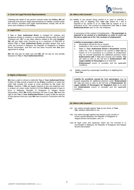#### *3: Cover for Legal Personal Representatives*

Following the death of any person covered under this **Policy**, **We** will indemnify that person's legal representatives for liability covered under this Section, provided such legal representatives comply with all the terms and conditions of the **Policy**.

#### *4: Legal Costs*

If **You** or **Your Authorised Driver** is charged for reckless and dangerous driving or careless or inconsiderate driving under the Road Transport Act 1987 or any other offence related to the said **Incident**, **We** will pay legal costs incurred up to a maximum of RM2,000 to defend **You** or **Your Authorised Driver** provided always that such costs are incurred in Malaysia, the Republic of Singapore or Negara Brunei Darussalam, and that cost has been incurred with **Our** prior agreement in writing.

**We** will only pay for legal cost and **We** will not pay for any penalty imposed on **You** or **Your Authorised Driver**.

# *5: Rights of Recovery*

**We** have a right to refuse to indemnify **You** or **Your Authorised Driver**  if either of **You** commit a breach of any **Policy** conditions or where the claim falls outside the scope of cover provided by **Us** under this **Policy**. However, if **We** are legally required to pay any judgment sum in respect of a claim under Section B of this **Policy** because of laws in force in Malaysia, Republic of Singapore or Negara Brunei Darussalam, which **We** would otherwise not have to pay, **We** have the right to ask **You** or **Your Authorised Driver** to repay to **Us** the amount of that payment and any costs **We** have incurred in connection with the claim.

# *1b: What is Not Covered?*

(iv) liability to any person being carried in or upon or entering or getting onto or alighting from **Your Car** unless he / she is required to be carried in or on **Your Car** by reason of or in pursuance of his / her contract of employment with **You** or **Your Authorised Driver** and / or his / her employer;

*In pursuance of the contract of employment* – The passenger is *required to be carried to a destination in order to carry out the job as spelt out in his / her contract of employment.*

#### *Liability to passengers other than:*

- *a. passengers carried for hire or reward;*
- *b. employees in the course of employment; or*
- *c. Your or Your Authorised Driver's Household member unless he / she is required to be carried in Your Car by reason of or in pursuance to a contract of employment; may be insured separately for additional premium under Endorsement 100. If You have insured such liability, You will need to refer to the full text of Endorsement 100: Legal Liability to Passengers as to what this Endorsement covers or excludes and the applicable conditions.*
- (v) liability caused by a passenger travelling in or alighting from **Your Car**;

*Liability for accidents caused by Your passengers may be insured separately for additional premium under Endorsement 72. You will need to refer to the full text of Endorsement 72: Legal Liability of Passengers for Negligent Acts as to what this Endorsement covers or excludes and the applicable conditions.*

# *1b: What is Not Covered?*

- (vi) any claims brought against **You** by any driver of **Your Car**, whether authorised or not;
- (vii) any claims brought against any person in any country in courts outside Malaysia, the Republic of Singapore or Negara Brunei Darussalam; and / or
- (viii) all legal costs and expenses which are not incurred in or recoverable in Malaysia, the Republic of Singapore and Negara Brunei Darussalam.

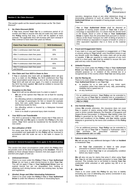

# *Section C: No Claim Discount*

*This section spells out the reward system known as the "No Claim Discount".*

#### *1. No Claim Discount (NCD)*

If **You** have insured **Your Car** for a continuous period of 12 months and **You** or anyone else did not make any claim under this **Policy** during that time, a NCD will be applied at each renewal. The applicable NCD will increase with each renewal if **You** continue to have claim free years as follows:

| <b>Claim Free Year of Insurance</b>               | <b>NCD Entitlement</b> |
|---------------------------------------------------|------------------------|
| After 1 continuous claim free year                | 25%                    |
| After 2 continuous claim free years               | 30%                    |
| After 3 continuous claim free years               | 38 1/3%                |
| After 4 continuous claim free years               | 45%                    |
| After 5 continuous claim free years<br>and beyond | 55%                    |

# *2. One Claim and Your NCD is Down to Zero*

If **You** or anybody else meet with an **Incident** which will give rise to a claim on this **Policy**, the NCD entitlement that **You** have accumulated would drop to zero at the next renewal and **Your** NCD will start all over again. If a claim is received after the NCD has been applied, **We** shall be entitled to recover the NCD given from **You**.

## *3. Exception to this Rule*

**Your** NCD will not be affected even if a claim is made if:

- **We** are of the opinion that **You** are not at fault for causing the loss;
- the offending vehicle is identifiable and is not a vehicle used for carriage of passengers for hire or reward (for example taxis, hire cars, public buses, stage buses, school buses and factory buses for hire);
- the offending vehicle is insured by a Malaysian licensed insurer; and
- there is no death or personal injury claim involved.

#### *4. Your NCD is not Transferable*

The NCD is personal to **You** which means that if **You** were to sell **Your Car** and **We** agree to transfer this **Policy** to the new owner, **Your** NCD cannot be transferred for the benefit of the new owner.

# *5. Non-utilisation of NCD*

For every year that the NCD is not utilised by **You**, the NCD accumulated and applicable for this **Policy** will be reversed in accordance with the scale set out in the table in clause C1 above.

# *Section D: General Exceptions – these apply to the whole policy*

*This section lists down circumstances under which this* **Policy** *does not provide cover at the time of happening of the Incident. This is in addition to those already listed in Sections A1b (see pages 6 and 7) and B1b (see pages 10 and 12).*

#### *1. Unlicensed Drivers*

There is no cover under this **Policy** if **You** or **Your Authorised Driver** do not have a valid driving license to drive **Your Car**. This will not apply if **You** or **Your Authorised Driver** have an expired license but are not disqualified from holding or obtaining such driving license under any existing laws, by-laws and regulations.

*2. Alcohol, Drugs and Other Intoxicating Substances*  There is no cover under this **Policy** if **You** or **Your Authorised Driver** is under the influence of alcohol or intoxicating liquor,

narcotics, dangerous drugs or any other deleterious drugs or intoxicating substance to such an extent that **You** or **Your Authorised Driver** are incapable of having proper control of **Your Car**.

*You or Your Authorised Driver shall be deemed as incapable of having proper control of Your Car if after a toxicology or equivalent test, it is shown that the alcohol level in the breath, blood or urine of You or Your Authorised Driver is higher than the prescribed limit pursuant to Section 45G(1) of the Road Transport Act 1987 of 80mg of alcohol in 100ml of blood (or equivalent in respect of breath or urine) or other equivalent legislation that is in force at the material time.*

#### *3. Fraud and Exaggerated Claims*

If any claim is in any part fraudulent or exaggerated, or if **You** or anyone acting on **Your** behalf, uses fraudulent means to get any benefit under this **Policy**, the entire claim will not be paid or payable. If **We** are required to make payment of any such claim to a third party, **We** shall be entitled to recover the sum paid and any costs incurred from **You**.

# *4. Unlawful Purpose*

There is no cover under this **Policy** if **You** or **Your Authorised Driver** use **Your Car** for an unlawful purpose or to attempt an unlawful purpose i.e. in violation of the criminal law or a recognised law of the country where **Your Car** was being used.

#### *5. Use for Racing etc.*

There is no cover under this **Policy** if **You** use or **You** allow **Your Authorised Driver** to use **Your Car**:

- **a.** to practise for or to take part in any motor sport, competition (other than treasure hunt), rally, pacemaking, reliability trial or speed test; or
- **b.** on any racetrack.

*For an additional premium, Your* **Policy** *can be extended to cover the use of Your Car for reliability trial or competition if You purchase the prescribed extension cover {Endorsement 24(c) or 24(d)}.*

# *6. Use Outside Malaysia*

Unless **We** provide otherwise, this insurance does not cover **You** in respect of claims arising whilst **Your Car** was being used or driven outside Malaysia, the Republic of Singapore and Negara Brunei Darussalam. In Malaysia, **Our** liability under this **Policy** is governed by the Road Transport Act 1987 and the terms and conditions of this **Policy**, and **Our** liability outside Malaysia is governed by the terms and conditions of this **Policy** only.

*For an additional premium, Your Policy can be extended to cover the use of Your Car in Thailand or Kalimantan only if You purchase the prescribed extension cover (Endorsements 101 and 102).*

#### *7. Failure to take Precaution*

**We** will not pay for any additional damages if after an **Incident**  or breakdown **You**:

- a. left **Your Car** unattended or failed to take proper precaution to prevent further loss or damage; or
- b. continue to drive **Your Car** in an unroadworthy condition before any repair is done.

**We** will also not pay for claims that arise if, when using **Your Car**, **You** do not take reasonable precaution to keep **Your Car**  secured. This includes but is not limited to leaving **Your Car**  unattended while unlocked or with ignition key left in or on **Your Car**.

#### *8. War Risk*

There is no cover under this **Policy** for any loss or liability (including any cost of defending any action) connected in any way directly or indirectly to: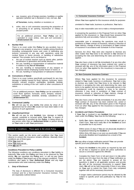

a. war, invasion, acts of foreign enemies, hostilities or warlike operation (whether war is declared or not), civil war, **Act**

**of Terrorism**, mutiny, rebellion or revolution; or

b. strike, riots or civil commotion assuming the proportion of or amounting to an uprising, insurrection or military or usurped power.

*For an additional premium, Your Policy can be extended to cover strikes, riots and civil commotion (Endorsement 25).*

# *9. Nuclear Risk*

There is no cover under this **Policy** for any accident, loss or damage to any property or any loss or liability arising therefrom (including consequential losses and costs of defending any actions) connected in any way with operations using the nuclear fission or fusion process, or handling of radioactive material. This includes, but is not limited to:

- a. the use of nuclear reactors such as atomic piles, particle accelerators or generators and similar devices;
- b. the use, handling or transportation of radioactive material in relation to any **Act of Terrorism**;
- c. the use, handling or transportation of any weapon or explosive device employing nuclear fission or fusion; or
- d. the use, handling or transportation of radioactive material.

#### *10. Convulsions of Nature*

There is no cover (unless specifically purchased) for any loss, damage or liability caused by flood, typhoon, hurricane, storm, tempest, volcanic eruption, earthquake, landslide, landslip, subsidence or sinking of the soil / earth or other convulsions of nature.

*For an additional premium, Your Policy can be extended to cover flood, typhoon, hurricane, storm, tempest, volcanic eruption, earthquake, landslide, landslip, subsidence etc. (Endorsement 57).*

#### *11. Contractual Liability*

**We** will not pay for any liability that arises by virtue of an agreement but for which **We** would not have been liable in the absence of such agreement.

# *12. Unauthorised Driver*

**We** will not pay for any **Incident**, loss, damage or liability caused, sustained or incurred whilst **Your Car**, in respect of which indemnity is provided by this **Policy**, is being driven by any person other than an **Authorised Driver** or person driving on **Your** order or with **Your** permission.

*Section E: Conditions – These apply to the whole Policy*

*This section spells out the terms and conditions that You must observe to ensure this insurance remains effective. Basically these conditions are of three types: What You must do*

*What You must not do What We can do*

# *Conditions Precedent to Policy Liability*

The following conditions are conditions precedent to **Our** liability to indemnify **You** under this **Policy** and have to be observed by **You** strictly. **We** can repudiate this **Policy** and / or will not pay claims under the **Policy** if **You** breach any of the relevant conditions. These conditions also apply to **Your Authorised Driver** and any legal representative who seek indemnity under this **Policy**.

# *1. Duty of Disclosure*

The duty of disclosure is different for a Consumer Insurance Contract and for a Non-Consumer Insurance Contract. They are separately outlined below:

#### **A. Consumer Insurance Contract**

Where **You** have applied for this insurance wholly for purposes

unrelated to **Your** trade, business or profession, **You** had a

duty to take reasonable care not to make a misrepresentation

in answering the questions in the Proposal Form (or when **You** applied for this insurance) i.e. **You** should have answered the questions fully and accurately. Failure to have taken

reasonable care in answering the questions may result in avoidance of **Your** contract of insurance, refusal or reduction of **Your** claim(s), change of terms or termination of **Your** contract of insurance in accordance with Schedule 9 of the Financial

Services Act 2013. **You** were also required to disclose any other matter that **You** knew to be relevant to **Our** decision in accepting the risks and determining the rates and terms to be applied.

**You** also have a duty to tell **Us** immediately if at any time after **Your** contract of insurance has been entered into, varied or renewed with **Us**, any of the information given in the Proposal Form (or when **You** applied for this insurance) is inaccurate or has changed.

#### **B. Non-Consumer Insurance Contract**

Where **You** have applied for this insurance for purposes related to **Your** trade, business or profession, **You** had a duty to disclose any matter that **You** know to be relevant to **Our** decision in accepting the risks and determining the rates and terms to be applied, and any matter a reasonable person in the circumstances could be expected to know to be relevant, otherwise it may result in avoidance of **Your** contract of insurance, refusal or reduction of **Your** claim(s), change of terms or termination of **Your** contract of insurance.

**You** also have a duty to tell **Us** immediately if at any time after Your contract of insurance has been entered into, varied or renewed with **Us**, any of the information given in the Proposal Form (or when **You** applied for this insurance) is inaccurate or has changed.

# *2. Accidents and Claims Procedures*

If **Your Car** is involved in any **Incident** that could lead to a claim under this **Policy**, **You** must do the following:

a. Notify **Our** claims department of the **Incident** and get a Claim Form. **You** must notify **Us** of the **Incident** as soon as possible but in any event:

Within seven (7) days if **You** are not physically disabled or hospitalised following the **Incident**; or Within thirty (30) days or as soon as practicable if **You** are physically disabled and hospitalised as a result of the **Incident**.

**We** may allow a longer notification period if **You** can provide specific proof and justification for the delay.

- b. Report the **Incident** to the police as required by law and do all that is required to assist the police authorities to secure a conviction against the offender.
- c. Complete the Claim Form in full and return it to **Us** within twenty-one (21) days from the date of **Your** notification as per (a) above. **You** are required to answer all the questions in detail in all applicable sections and provide **Us** with all the necessary documents to support **Your**  claim. **We** will not be held responsible if there is any delay on **Your** part to submit the Claim Form duly completed together with all the necessary documents.

A longer claims submission period may be allowed by **Us** subject to specific proof and justification by **You** for the delay.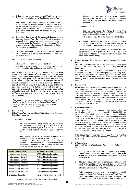

d. If there are any claims made against **You** by a third party, **You** must immediately notify **Us** of the same and **You** 

must send to **Us** any notification of claim, notice of impending prosecution or inquest, summons, writ or any letters from the solicitors of the third party as soon as **You** receive such documents, but in any event within fourteen (14) days from the date of receipt of any of the documents.

- e. Send **Your Car** to any of **Our** approved **Repairer** so that **We** can inspect **Your Car** before **We** give approval to proceed with repairs or take reasonable action to safeguard **Your Car** from further loss or damage. **We** can refuse to pay any claim under Section A of this **Policy** if **You** breach this condition.
- f. **You** must obtain **Our** consent in writing before **You** repair Your Car or incur any expenses in connection with a claim under this **Policy**.

**You** must not do any of the following:

- Admit any responsibility for any **Incident**; or
- Negotiate or settle any claims made against **You** by a third party, unless **We** write and inform **You** that **You** can.

**We** will decide whether to negotiate, defend or settle, in **Your**  name, **Your Authorised Driver's** name and / or on **Your** behalf, any claims made against **You** or **Your Authorised Driver** by a third party. If in **Our** assessment the third party claim made against **You** or **Your Authorised Driver** for property damage will exceed the limit of liability of RM3 million, **We** will pay the full amount of **Our** liability to **You** or the third party and hand over the further conduct of any defence, settlement or proceeding to **You** completely. After doing so **We** will not be liable under this **Policy** to make any more payments to **You** or any claimant or any other person arising from the same **Incident**.

*The conditions above also apply to anyone else who wishes to claim under the terms and conditions of this Policy. "Anyone else" may refer to personal representative or administrator / estate of the policyholder.*

#### *3. Cancellation*

Either **You** or **We** may cancel this **Policy** at any time during the **Period of Insurance**.

- a. Cancellation by **You**:
	- **You** can cancel this **Policy** at any time by returning the **Certificate of Insurance (CI)** to **Us** or, if the **CI** has been lost or destroyed, **You** must provide **Us** with a duly certified Statutory Declaration (SD) to confirm this.
	- After returning the **CI** or SD **You** will be entitled to a refund of premium if no claim was incurred prior to cancellation. **Your** refund will be the difference between the total premium and **Our** customary shortperiod rates calculated for the time **We** were on risk until the date **We** received the **CI** or SD:

| <b>Period of Insurance</b> | <b>Refund of Premium</b>     |
|----------------------------|------------------------------|
| Not exceeding 1 week       | 87.5% of the total premium   |
| Not exceeding 1 month      | 75.0% of the total premium   |
| Not exceeding 2 months     | 62.5% of the total premium   |
| Not exceeding 3 months     | 50.0% of the total premium   |
| Not exceeding 4 months     | 37.5% of the total premium   |
| Not exceeding 6 months     | 25.0% of the total premium   |
| Not exceeding 8 months     | 12.5% of the total premium   |
| Exceeding 8 months         | No refund of premium allowed |

• The **Policy** will automatically lapse once **You** sell or

dispose off **Your Car** because **Your** insurable interest in the **Car** will cease. If **You** want to transfer the **Policy** to the new buyer, **You** have to get **Our** prior consent.

- b. Cancellation by **Us**:
	- **We** may also cancel this **Policy** by giving **You**  fourteen (14) days notice in writing by registered post to **Your** last address known to **Us**.
	- After returning the **CI** or SD **You** will be entitled to a
	- refund premium for the unexpired period calculated on a pro-rata basis from the date **We** receive the **CI** or SD from **You** to the expiry date of the **Policy**.

There will not be any refund of premium for any cancellation of **Policy** (either by **You** or by **Us**) if **You** have paid the **Minimum Premium** only or if a claim has been made on this **Policy**.

#### *4. If there is More Than One Insurance Covering the Same Car*

**You** must inform **Us** in writing if **You** have taken out any other insurance in respect of **Your Car** during the **Period of Insurance**.

If a claim arises under this **Policy** and such a loss is also claimable under the other insurance policy(ies) taken by **You**, **We** will only contribute **Our** rateable proportion of the whole loss. **We** will not be liable to pay the claim first and then seek recovery from the other co-insurers who is / are also liable for the loss.

# *5. Subrogation*

**We** are entitled to take over all rights and remedies that **You** may have against any third party who caused the loss. **We** shall have the absolute discretion in the conduct of any proceedings, at **Our** own costs, against the third party and in the settlement of any such claim and **You** shall give **Us** such information and assistance as **We** may require from time to time including assigning all rights to take action in **Your** name. **You** must however give **Us Your** full cooperation to protect these rights and provide all assistance and take such steps as **We** require.

# *6. Dispute Resolution*

If there are differences or disputes on any matters relating to this **Policy** involving amounts exceeding RM250,000, an Arbitrator shall be jointly appointed by **You** and **Us** in writing to resolve the differences or disputes. If no agreement is reached on who is to be the Arbitrator within one month of being required to do so then **You** and **We** shall be entitled to appoint an Arbitrator each. Both Arbitrators shall then proceed to hear the difference or dispute together with an Umpire to be jointly appointed by them. If the Arbitrators cannot agree on an Umpire within thirty (30) days, then the Kuala Lumpur Regional Centre for Arbitration shall appoint an Umpire.

If the disputed sum is less than RM250,000, **You** may refer the matter to the **Ombudsman for Financial Services** to resolve the dispute.

#### 7. *Other Matters*

**We** will only be liable to indemnify **You** under this **Policy** if **You**:

- a. Comply with all the terms and conditions of this **Policy**. These conditions are also applicable to **Your Authorised Driver** and any legal representative who seek protection under this **Policy**;
- b. Maintain **Your Car** in a reasonably efficient and roadworthy condition. **You** must get **Our** consent if **You** make any modification that will enhance or in any way affect the performance of **Your Car**;
- c. Take reasonable care to avoid any situation that could result in a claim. This **Policy** will not cover **You** if **You** or **Your Authorised Driver** are reckless i.e. where **You**  recognise a serious risk but deliberately do not take steps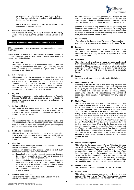

to prevent it. This includes but is not limited to leaving Your Car unattended while unlocked or with ignition keys left in or on **Your Car**; and

d. Make **Your Car** available to **Us** for inspection at all reasonable times upon request.

#### 8. *Prevalent Policy Wording*

For avoidance of doubt, the English version of this **Policy** wording will prevail over the Bahasa Malaysia version at all times.

# *Section F: Definitions of words highlighted in the Policy*

*This section explains what We mean by the words printed in bold in this* **Policy***.*

In this **Policy**, **Schedule** and **Certificate of Insurance**, unless the context otherwise requires, the following words shall have the meanings as defined below.

#### **1. Accessories**

This refers to the standard factory-fitted tools of the **Car** including air-conditioners and spare tyres and may include radio / cassette player / compact disc player and the like if specified in the **Schedule**.

#### **2. Act of Terrorism**

This refers to an act by any person(s) or group that uses force or violence and / or the threat of force or violence, whether they are acting alone or on behalf of or in connection with any organisation(s) or government(s) and done for political, religious, ideological, ethnic or similar purposes or reasons, including the intention to influence any government and / or to put the public, or any section of the public, in fear.

#### **3. Adjuster**

This refers to a person or entity registered under the Financial Services Act 2013 who is appointed by **Us** to investigate the cause and circumstances of a loss and to determine the amount of loss.

# **4. Authorised Driver**

This refers to any person who drives **Your Car** with **Your** consent or permission provided he or she holds a valid driving license of the relevant type and is not disqualified to drive by law or for any other reason.

# **5. Car**

This refers to the motor vehicle described in the **Schedule** and includes the manufacturer's standard options and **Accessories** fitted to it and any other non-standard options or descriptions that are specifically listed in the **Schedule**.

# **6. Certificate of Insurance**

This certificate is a prescribed form that **We** are required to issue to **You** under the Road Transport Act 1987 and it outlines the particulars of any conditions subject to which the **Policy** is issued.

# **7. Cheating**

This follows the meaning as defined under Section 415 of the Penal Code which is as follows:

Whoever by deceiving any person, whether or not such deception was the sole or main inducement:

- a. fraudulently or dishonestly induces the person so deceived to deliver any property to any person, or to consent that any person shall retain any property; or
- b. intentionally induces the person so deceived to do or omit to do anything which he would not do or omit to do if he were not so deceived and which act or omission causes or is likely to cause damage or harm to any person in body, mind, reputation, or property, is said to "cheat".

# **8. Criminal Breach of Trust**

This follows the meaning as defined under Section 405 of the Penal Code which is as follows:

Whoever, being in any manner entrusted with property, or with any dominion over property either solely or jointly with any other person, dishonestly misappropriates, or converts to his own use, that property, or dishonestly uses or disposes of that

property in violation of any direction of law prescribing the mode in which such trust is to be discharged, or of any legal contract, express or implied, which he has made touching the discharge of such trust, or wilfully suffers any other person so to do, commits "criminal breach of trust".

#### **9. Endorsement**

This refers to the document that **We** issue to **You** to confirm any changes or extensions of the coverage to the basic **Policy.**

#### **10. Excess**

This refers to the amount that must be borne by **You** first for each claim. The amount of the excess is shown in the **Schedule**. **You** have to pay the excess irrespective of who is at fault in the **Incident**.

#### 11. **Household**

This refers to all members of **Your** or **Your Authorised Driver's** immediate family i.e. spouse, children including legally adopted children, parents, brother(s) and sister(s) staying under one roof with **You** in the case of **Your** immediate family, or with **Your Authorised Driver**, in the case of his immediate family.

# **12. Incident**

Any event which could lead to a claim under this **Policy**.

#### **13. Limitations as to Use**

According to **Your Certificate of Insurance** (**CI**), **Your Car** can only be used for "Social, domestic and pleasure purposes and for the policyholder's business". The **CI** also states that "The **Policy** does not cover use for hire or reward, racing, pacemaking, reliability, trial speed-testing, the carriage of goods other than samples in connection with any trade or business".

# **14. Market Value**

This refers to the reasonable cost to buy another car of the same make, model, age and general condition similar to **Your Car** at the time of loss. The **Market Value** of **Your Car** at the time of loss would be determined according to the terms of the option that **You** had chosen at the time **You** purchased this

**Policy**. If **You** had opted for a **Market Valuation System** to determine **Your Sum Insured** then the **Market Value** would be based on that valuation system as described in clause 15 below. However, if **You** had not opted for a **Market Valuation System**  then the **Market Value** of **Your Car** in the event of dispute would be determined by the Head Office of the **Car** franchise-holder and this value should be equal to the cost of purchasing a replacement car of the same make, model and age of **Your Car** at the time of loss. If this valuation is not available or appears in **Our** opinion to be unduly low or high then valuation will be determined by an **Adjuster** registered under the Financial Services Act 2013, agreed by both **You** and **Us**.

# **15. Market Valuation System**

This refers to the motor vehicle **Market Valuation System** approved by Persatuan Insurans Am Malaysia (PIAM) to determine the **Market Value** of **Your Car** at the time **You** purchased / renewed this **Policy** as well as at the time of the loss. **You** can opt to use the valuation recommended by this system as the **Sum Insured** to avoid the consequences of under-insurance as described in Section A2e. Alternatively, **You** may choose to determine the **Sum Insured Yourself** but **You** would be subject to Section A2e if **You** are under-insured.

# **16. Minimum Premium**

The minimal premium described in the **Schedule**.

# **17. Named Driver**

This refers to the persons named in the **Policy** who are authorised by **You** to drive **Your Car**. The compulsory excess of RM400 stated in Section A2g will not apply if **Your Car** is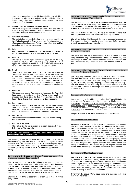

driven by a **Named Driver** provided they hold a valid full driving license of the relevant type and are not disqualified to drive by law or for any other reason and are above the age of 21 years at the time of the **Incident**.

#### **18. Ombudsman for Financial Services (OFS)**

This is an independent body that provides a free and efficient avenue to help settle financial disputes between **You** and **Us** under this **Policy** as an alternative to the courts.

#### **19. Period of Insurance**

The period shown in the **Schedule** when the cover provided by this **Policy** is operative. Cover is only valid from the actual time of purchase of the insurance **Policy** or from when **You** and **We** agree that cover should commence.

#### **20. Policy**

Policy includes the **Schedule**, the **Certificate of Insurance** and all **Endorsements** specifically listed in the **Schedule**.

#### **21. Repairer**

This refers to motor repair workshops approved by **Us** or by Persatuan Insurans Am Malaysia (PIAM) under the PIAM Approved Repairers Scheme (PARS) or any repairer that **We** have given **You** a special permission to use, for a claim.

#### **22. Road**

Section 2 of the Road Transport Act 1987 defines "Road" as "any public road and any other road to which the public has access and includes bridges, tunnels, lay-bys, ferry facilities, interchanges, round-abouts, traffic islands, road dividers, all traffic lanes, sidetables, median strips, overpasses, underpasses, approaches, entrance and exit ramps, toll plazas, service areas, and other structures and fixtures to fully effect its  $\mathsf{HSE}^n$ 

# **23. Schedule**

This document shows **Your** name and address, the **Period of Insurance**, the sections of this **Policy** which apply, the premium **You** have paid, the **Car** which is insured, the **Sum Insured** and details of any extensions or **Endorsements**.

# **24. Sum Insured**

This is the maximum that **We** will pay **You** for a claim under Section A. This amount is shown in the **Schedule**. The **Sum Insured** must be sufficient to cover the cost to replace **Your Car** in the event of an **Incident** that completely destroys it.

**25. We, Our, Us** 

This refers to the licensed Insurance Company that is issuing **You** this **Policy**.

26. **You, Your, Yourself** 

This refers to the policyholder or person described in the **Schedule** as "the Insured".

#### *Section G: Endorsements – applicable only if the Endorsement number is printed in the Schedule*

*The following is a list of additional terms and conditions (known as Endorsements) that We may impose on You or optional covers available that You may want to add to Your basic Policy by paying additional premium. Note that only Endorsements with their numbers specifically printed in the Schedule shall apply to this Policy.*

#### **Endorsement 1: Excess All Claims** *(please see page 4 for explanation and page 12 for definition)*

The **Excess** amount shown in the **Schedule** is the amount that **You** have to pay for each and every claim under Section A arising out of one **Incident**. This means that **We** have the right to deduct the **Excess** from the amount that **We** would otherwise have to pay. If **We** are not able to deduct the **Excess**, **We** have the right to demand that **You** pay **Us** the **Excess** first, before **We** make any payment.

**We** will not deduct this **Excess** for loss or damage in respect of third party claims.

#### **Endorsement 2: Excess Damage Claim** *(please see page 4 for explanation and page 12 for definition)*

The **Excess** amount shown in the **Schedule** is the amount that **You** have to pay for each and every claim under Section A arising out of one **Incident**. This means that **We** have the right to deduct the **Excess** from the amount that **We** would otherwise have to pay. If

**We** cannot deduct the **Excess**, **We** have the right to demand that **You** pay **Us** the **Excess** first, before **We** make any payment.

**We** will not deduct this **Excess** if the loss or damage is caused by fire, explosion, lightning, burglary, housebreaking, theft, third party property damage or bodily injury claims.

#### **Endorsement 3(p): Third Party Only Insurance** *(please see pages 2 - "What is Covered?")*

The cover that **You** have chosen for **Your Car** is limited to 'Third Party' insurance only. This means that **We** will not pay for any loss or damage to **Your Car**. For that reason Section A is deleted and only Section B coverage has been purchased and is available to **You**.

#### **Endorsement 3(q): Third Party, Fire and Theft Insurance** *(please see pages 2 - "What is Covered?")*

The cover that **You** have chosen for **Your Car** is called 'Third Party, Fire and Theft' insurance. This means that the cover provided to **Your Car** under Section A is limited to any loss or damage caused by fire, explosion, lightning, burglary, housebreaking or theft only. For that reason all the remaining covers under Section A1a are deleted and Section B coverage has been purchased and is available to **You**.

# **Endorsement 14: Transfer of Interest**

In consideration of the additional premium that **You** paid **Us** for this endorsement, **We** agree to transfer the interest in this **Policy** on *[state date]* to *[state name of transferee and NRIC No. / Business Registration No.]* of *[state address]* carrying on or engaging in the business or profession of whose proposal and declaration dated *[state date]* shall be the basis of this contract.

Subject otherwise to the terms and conditions of this **Policy**.

# **Endorsement 15: Hire Purchase**

**We** note that **Your Car** is under a Hire Purchase agreement with the Hire Purchase company named in the **Schedule** as the Owners. **You** unconditionally agree that the payment of any claim under Section A by **Us** by way of a cash payment shall be made to the Owners as long as they remain as the Owner of **Your Car** at the time of the **Incident**. The receipt from the Owners will fully discharge **Us** from any further claims or liability in respect of such loss or damage. For all other purposes **You** are the principal party under this **Policy** and not an agent or trustee for the Owners and that **You** have not assigned **Your** rights, benefits and claims under this **Policy** to the Owners. **You** cannot assign **Your** rights, benefits and claims under this **Policy** to anybody without **Our** written consent.

# **Endorsement 15(a): Employer's Loan**

**We** note that **Your Car** was bought under an Employer's Loan agreement. **You** unconditionally agree that the payment of any claim under Section A by **Us** by way of a cash payment shall be made to the Employer named in the **Schedule** as long as the loan remains outstanding at the time of the **Incident** giving rise to a claim. The receipt from the Employer will fully discharge **Us** from any further claims or liability in respect of the **Incident**.

Other than the above, **Our / Your** rights and liabilities under this **Policy** are not affected.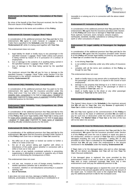

# **Endorsement 18: Fleet Rated Risks – Cancellation of 'No Claim Discount'**

By virtue of the benefit of the Fleet Discount received, the No Claim Discount clause of this **Policy** is cancelled.

Subject otherwise to the terms and conditions of this **Policy**.

# **Endorsement 22: Caravan / Luggage / Boat Trailers**

In consideration of the additional premium that **You** paid **Us** for this endorsement, We agree to cover Caravan or Luggage or Boat Trailer that is specified in the **Schedule** under the heading '**Endorsement 22**' while it is being used together with **Your Car.**

This endorsement does not cover:

- legal liability for death or bodily injury to any passenger in the specified Caravan / Luggage / Boat Trailer unless such person is being carried by reason of or in pursuance of a contract of employment;
- b. loss or damage to the contents of or anything being carried in the specified Caravan / Luggage / Boat Trailer; and
- c. loss or damage to the Boat being carried by the specified **Trailer**

The maximum amount that **We** will pay for loss or damage to the specified Caravan / Luggage / Boat Trailer under Section A for this endorsement is the amount mentioned in the **Schedule** under the heading '**Endorsement 22**'.

# **Endorsement 24(c): Reliability Trials, Competitions etc.**

In consideration of the additional premium that You paid Us for this endorsement, We agree that the insurance provided under this Policy shall cover Your Car while it is being used for *[state either reliability trials, competition]* to be held at *[state place / location]* on *[state date]* organized by *[state name of organizer]* including officially conducted practice for the event.

#### **Endorsement 24(d): Reliability Trials, Competitions etc. (Third Party Cover Only)**

In consideration of the additional premium that **You** paid **Us** for this endorsement, **We** agree that the insurance provided under Section B of this **Policy** shall cover legal liability while **Your Car** is being used for *[state either reliability trials, competition]* to be held at *[state place / location]* on *[state date]* organized by *[state name of organizer]* including officially conducted practice for the event.

#### **Endorsement 25: Strike, Riot and Civil Commotion**

In consideration of the additional premium that **You** paid **Us** for this endorsement, **We** agree that the insurance provided under Section A of this **Policy** shall cover loss or damage to **Your Car** caused by:

- a. the wilful act of any striker or locked out worker to further a strike or to resist a lock out:
- b. the act of any person taking part together with others in disturbance of the public peace (whether in connection with a strike or lock out or not); and
- c. the action of any lawfully constituted authority in preventing, suppressing or attempting to prevent or suppress any of these acts or in minimising the consequences of them.

This endorsement does not cover:

- a. civil war, war, invasion or acts of foreign enemy hostilities or warlike operations (whether war is declared or not);
- b. revolution, rebellion or civil disturbance amounting to a popular uprising; and
- c. **Act of Terrorism**.

It also does not cover any loss, damage or liability directly or indirectly, proximately or remotely caused by or contributed to or traceable to or arising out of or in connection with the above stated exceptions.

# **Endorsement 57: Inclusion of Special Perils**

In consideration of the additional premium that **You** paid **Us** for this endorsement, **We** agree that the insurance provided under Section A of this **Policy** will cover loss or damage to **Your Car** caused by flood, typhoon, hurricane, storm, tempest, volcanic eruption, earthquake, landslide, landslip, subsidence or sinking of the soil / earth or other convulsions of nature.

#### **Endorsement 72: Legal Liability of Passengers for Negligent Acts**

In consideration of the additional premium that **You** paid **Us** for this endorsement, **We** agree that the insurance provided under Section B of this **Policy** will include legal liability incurred by any passenger in **Your Car** on condition that the passenger:

- a. is not driving **Your Car**;
- b. is not entitled to indemnity under any other policy of insurance; and
- c. complies with all the terms and conditions of this **Policy** as though he was **You**.

This endorsement does not cover:

- a. death or bodily injury to any person who is employed by **You** or the passenger, and who dies or is injured in the course of such employment;
- b. damage to any property that belongs to or is held in trust or in the custody or control of **You** or the passenger or which is being carried in **Your Car**; and / or
- c. death or bodily injury to the driver or any other passenger travelling in **Your Car** at the same time.

#### **Endorsement 87: Agreed Value Clause**

The Agreed Value shown in the **Schedule** is the maximum amount that **We** will pay for **Your Car**, less any **Excess** (if applicable) if Your Car is stolen or totally destroyed.

**We** and **You** have agreed at the commencement of this **Policy** to use this value as the basis of settlement provided **We** are liable to pay for such loss or destruction under the terms and conditions of this **Policy**. The **Market Value** of **Your Car** at the time of the loss will not be taken into account.

#### **Endorsement 89: Cover for Windscreens, Windows and Sunroof**

In consideration of the additional premium that **You** paid **Us** for this endorsement, **We** agree that the insurance provided under Section A of this **Policy** will cover the cost to replace or repair any glass in the windscreen, window or sunroof of **Your Car** that is accidentally damaged including the cost of lamination / tinting film (if any) provided no other claim is submitted for this **Incident**. The maximum amount that **We** will pay under this endorsement is the amount mentioned in the **Schedule** under the heading '**Endorsement 89**'.

If **Your** claim is for the damaged glass only and no other damage, **We** will not deduct any **Excess**, and **You** will not lose **Your** No Claim Discount entitlement.

If the damaged glass is replaced, the cover provided by this endorsement comes to an end as soon as the glass is replaced. If **You** wish to enjoy continued coverage **You** must buy a new endorsement cover and pay the additional premium to **Us**.

Alternatively if the damaged glass is repaired this cover will continue but the limit of the amount payable will be reduced by the amount of the repair cost. To restore the cover to the original limit **You** must pay the additional premium to **Us** for the increased cover.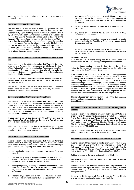

**We** have the final say on whether to repair or to replace the damaged glass.

# **Endorsement 95: Leasing Agreement**

**We** note that **Your Car** is under a Leasing Agreement with the Leasing company named in the **Schedule** as the Lessors. **You** unconditionally agree that the payment of any claim under Section A by **Us** by way of a cash payment shall be made to the Lessors as long as the Leasing Agreement remains valid at the time of the **Incident**. The receipt from the Lessors will fully discharge **Us** from any further claims or liability in respect of such loss or damage. For all other purposes, **You** are the principal party under this **Policy** and not as an agent or trustee for the Lessors and **You** have not assigned **Your** rights, benefits and claims under this **Policy** to the Lessors. **You** cannot assign **Your** rights, benefits and claims under this **Policy** without **Our** written consent.

#### **Endorsement 97: Separate Cover for Accessories fixed to Your Car**

In consideration of the additional premium that **You** paid **Us** for this endorsement, **We** agree that the insurance provided under Section A of this **Policy** shall cover the non-standard **Accessories** specified in the **Schedule.** The maximum amount that **We** will pay under this endorsement is the amount mentioned in the said **Schedule** under the heading '**Endorsement 97**'.

If **Your** claim is for the **Accessories** only and no other damages, **We**  will not deduct any **Excess** and **You** will not lose **Your** No Claim Discount entitlement.

This cover is terminated on the date **Your** claim is settled under this endorsement. To restore this cover **You** must pay the additional premium to **Us** for the renewed cover.

#### **Endorsement 97(a): Gas Conversion Kit and Tank**

In consideration of the additional premium that **You** paid **Us** for this endorsement, **We** agree that the insurance provided under Section A of this **Policy** shall cover loss or damage to the Gas Conversion Kit and Tank of **Your Car** as a separate item provided it is installed by a qualified installer. The maximum amount that **We** will pay under this endorsement is the amount mentioned in the **Schedule** under the heading '**Endorsement 97(a)**'.

If **Your** claim is for the Gas Conversion Kit and Tank only and no other damage, **We** will not deduct any **Excess** and **You** will not lose **Your** No Claim Discount entitlement.

This cover is terminated on the date **Your** claim is settled under this endorsement. To restore this cover **You** must pay the additional premium to **Us** for the renewed cover.

# **Endorsement 100: Legal Liability to Passengers**

In consideration of the additional premium that **You** paid **Us** for this endorsement, **We** shall pay towards **You** or **Your Authorised Driver's** liability to any person being carried in or upon or entering or getting into or onto or alighting from **Your Car** except for:

- a. death or bodily injury to any passenger being carried for hire or reward;
- b. death or bodily injury to any person where such death or injury arises out of and in the course of the employment of such person by **You** or by **Your Authorised Driver**;
- c. damage to property belonging to or in the custody of or control of or held in trust by **You** or **Your Authorised Driver** and / or any member of **Your** or **Your Authorised Driver's Household**;
- d. liability to any person who is a member of **Your** and / or **Your Authorised Driver's Household** who is a passenger in **Your**

**Car** unless he / she is required to be carried in or on **Your Car**  by reason of or in pursuance of his / her contract of employment with **You** or **Your Authorised Driver** and / or his / her employer;

- e. liability caused by a passenger travelling in or alighting from **Your Car**;
- f. any claims brought against **You** by any driver of **Your Car**, whether authorised or not;
- g. any claims brought against any person in any country in courts outside Malaysia, the Republic of Singapore or Negara Brunei Darussalam; and / or
- h. all legal costs and expenses which are not incurred in or recoverable in Malaysia, the Republic of Singapore and Negara Brunei Darussalam.

#### **Condition of Cover**

If at the time of **Incident** giving rise to a claim under this endorsement, **Your Car** is carrying passengers in excess of the

stated maximum number permitted by law, **Our** liability shall be limited to the number of passengers specified for the vehicle as registered at the Road Transport Department.

If the number of passengers carried at the time of the happening of an **Incident** is more than the maximum number permitted in the vehicle by law, **We** will not pay their claim in full. Any payment **We** make to any claimant under this endorsement will be rateably reduced in the proportion of the legally permitted maximum number of lawful passengers over the actual number of passengers carried, at the time of the **Incident.** The difference between the sum paid by **Us** and the claim to be paid to each passenger claimant shall be borne by **You** or **Your Authorised Driver**. The proportion **We** pay shall be calculated in accordance with the following formula:

Number of passengers permitted by law X Total Claim Awarded Actual number of passengers carried at time of **Incident**

#### **Endorsement 101: Extension of Cover to the Kingdom of Thailand**

In consideration of the additional premium that **You** paid **Us** for this endorsement, **We** agree that the insurance provided under Section A and Section B1a(ii) of this **Policy** shall cover **Your Car** while it is being used in the Kingdom of Thailand from the time of purchase on [*state date*] to midnight (Malaysian Standard Time) on [*state date*]. The limit of liability that **We** provide under Section B1a(ii) will be up to a maximum of RM100,000 only.

This endorsement does not cover legal liability under Section B1a(i) while **Your Car** is being used in the Kingdom of Thailand.

#### **Endorsement 102: Extension of Cover to West Kalimantan**

In consideration of the payment of additional premium by **You** to **Us**, the geographical area of this **Policy** is extended to include West a.m. / p.m. on [state date] to midnight (Malaysian Standard Time) on [*state date*] subject to the limit of liability of RM50,000 under Section B1a(i) and B1b(ii).

Subject otherwise to the terms and conditions of this **Policy**.

#### **Endorsement 105: Limits of Liability for Third Party Property Damage (TPPD)**

In consideration of the additional premium that **You** paid **Us** for this endorsement, **We** agree to increase the limit of liability provided under Section B2(ii) of this **Policy** to RM [*state new limit*] with effect from [*state date*].

Limits of liability in excess of RM3 million up to RM20 million is allowed subject to additional premium stated as below:-